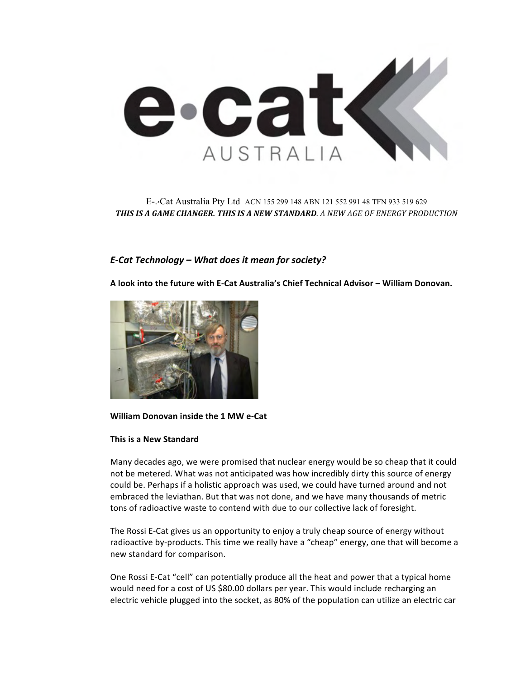

# E-.-Cat Australia Pty Ltd ACN 155 299 148 ABN 121 552 991 48 TFN 933 519 629 *THIS%IS%A%GAME%CHANGER.%THIS%IS%A%NEW%STANDARD. A"NEW"AGE"OF"ENERGY"PRODUCTION*

# *E-Cat Technology – What does it mean for society?*

A look into the future with E-Cat Australia's Chief Technical Advisor - William Donovan.



## **William Donovan inside the 1 MW e-Cat**

## **This is a New Standard**

Many decades ago, we were promised that nuclear energy would be so cheap that it could not be metered. What was not anticipated was how incredibly dirty this source of energy could be. Perhaps if a holistic approach was used, we could have turned around and not embraced the leviathan. But that was not done, and we have many thousands of metric tons of radioactive waste to contend with due to our collective lack of foresight.

The Rossi E-Cat gives us an opportunity to enjoy a truly cheap source of energy without radioactive by-products. This time we really have a "cheap" energy, one that will become a new standard for comparison.

One Rossi E-Cat "cell" can potentially produce all the heat and power that a typical home would need for a cost of US \$80.00 dollars per year. This would include recharging an electric vehicle plugged into the socket, as 80% of the population can utilize an electric car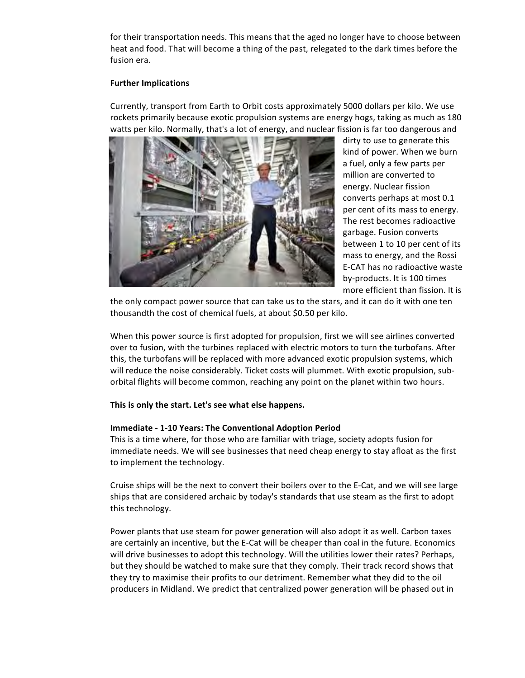for their transportation needs. This means that the aged no longer have to choose between heat and food. That will become a thing of the past, relegated to the dark times before the fusion era.

## **Further Implications**

Currently, transport from Earth to Orbit costs approximately 5000 dollars per kilo. We use rockets primarily because exotic propulsion systems are energy hogs, taking as much as 180 watts per kilo. Normally, that's a lot of energy, and nuclear fission is far too dangerous and



dirty to use to generate this kind of power. When we burn a fuel, only a few parts per million are converted to energy. Nuclear fission converts perhaps at most 0.1 per cent of its mass to energy. The rest becomes radioactive garbage. Fusion converts between 1 to 10 per cent of its mass to energy, and the Rossi E-CAT has no radioactive waste by-products. It is 100 times more efficient than fission. It is

the only compact power source that can take us to the stars, and it can do it with one ten thousandth the cost of chemical fuels, at about \$0.50 per kilo.

When this power source is first adopted for propulsion, first we will see airlines converted over to fusion, with the turbines replaced with electric motors to turn the turbofans. After this, the turbofans will be replaced with more advanced exotic propulsion systems, which will reduce the noise considerably. Ticket costs will plummet. With exotic propulsion, suborbital flights will become common, reaching any point on the planet within two hours.

## This is only the start. Let's see what else happens.

## **Immediate - 1-10 Years: The Conventional Adoption Period**

This is a time where, for those who are familiar with triage, society adopts fusion for immediate needs. We will see businesses that need cheap energy to stay afloat as the first to implement the technology.

Cruise ships will be the next to convert their boilers over to the E-Cat, and we will see large ships that are considered archaic by today's standards that use steam as the first to adopt this technology.

Power plants that use steam for power generation will also adopt it as well. Carbon taxes are certainly an incentive, but the E-Cat will be cheaper than coal in the future. Economics will drive businesses to adopt this technology. Will the utilities lower their rates? Perhaps, but they should be watched to make sure that they comply. Their track record shows that they try to maximise their profits to our detriment. Remember what they did to the oil producers in Midland. We predict that centralized power generation will be phased out in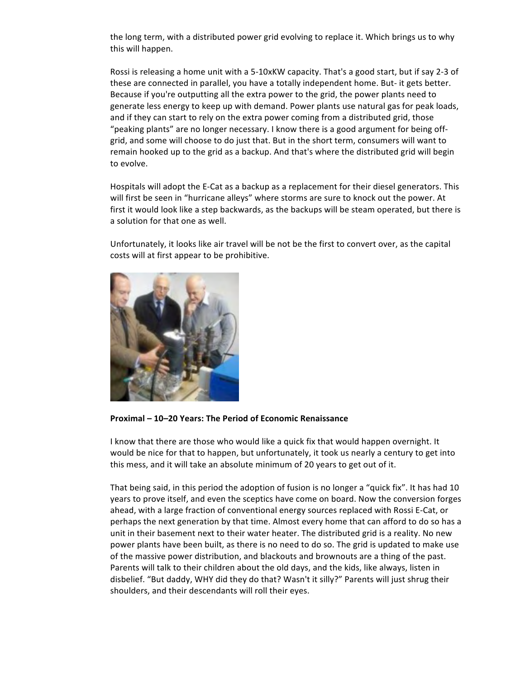the long term, with a distributed power grid evolving to replace it. Which brings us to why this will happen.

Rossi is releasing a home unit with a 5-10xKW capacity. That's a good start, but if say 2-3 of these are connected in parallel, you have a totally independent home. But- it gets better. Because if you're outputting all the extra power to the grid, the power plants need to generate less energy to keep up with demand. Power plants use natural gas for peak loads, and if they can start to rely on the extra power coming from a distributed grid, those "peaking plants" are no longer necessary. I know there is a good argument for being offgrid, and some will choose to do just that. But in the short term, consumers will want to remain hooked up to the grid as a backup. And that's where the distributed grid will begin to evolve.

Hospitals will adopt the E-Cat as a backup as a replacement for their diesel generators. This will first be seen in "hurricane alleys" where storms are sure to knock out the power. At first it would look like a step backwards, as the backups will be steam operated, but there is a solution for that one as well.

Unfortunately, it looks like air travel will be not be the first to convert over, as the capital costs will at first appear to be prohibitive.



**Proximal"– 10–20"Years: The"Period"of"Economic"Renaissance**

I know that there are those who would like a quick fix that would happen overnight. It would be nice for that to happen, but unfortunately, it took us nearly a century to get into this mess, and it will take an absolute minimum of 20 years to get out of it.

That being said, in this period the adoption of fusion is no longer a "quick fix". It has had 10 years to prove itself, and even the sceptics have come on board. Now the conversion forges ahead, with a large fraction of conventional energy sources replaced with Rossi E-Cat, or perhaps the next generation by that time. Almost every home that can afford to do so has a unit in their basement next to their water heater. The distributed grid is a reality. No new power plants have been built, as there is no need to do so. The grid is updated to make use of the massive power distribution, and blackouts and brownouts are a thing of the past. Parents will talk to their children about the old days, and the kids, like always, listen in disbelief. "But daddy, WHY did they do that? Wasn't it silly?" Parents will just shrug their shoulders, and their descendants will roll their eyes.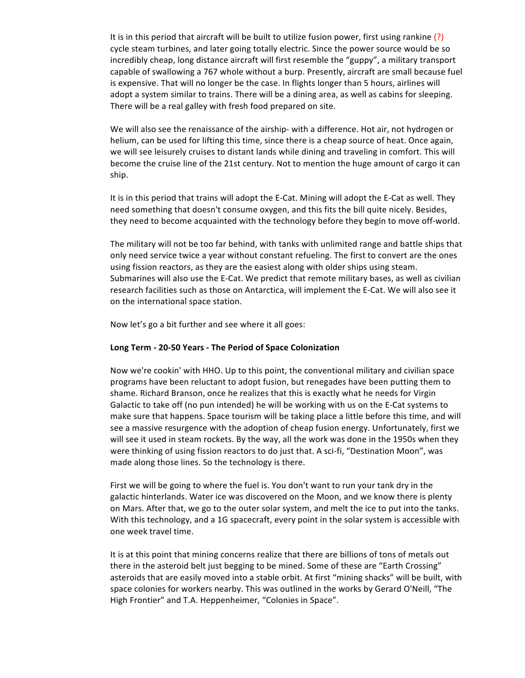It is in this period that aircraft will be built to utilize fusion power, first using rankine (?) cycle steam turbines, and later going totally electric. Since the power source would be so incredibly cheap, long distance aircraft will first resemble the "guppy", a military transport capable of swallowing a 767 whole without a burp. Presently, aircraft are small because fuel is expensive. That will no longer be the case. In flights longer than 5 hours, airlines will adopt a system similar to trains. There will be a dining area, as well as cabins for sleeping. There will be a real galley with fresh food prepared on site.

We will also see the renaissance of the airship- with a difference. Hot air, not hydrogen or helium, can be used for lifting this time, since there is a cheap source of heat. Once again, we will see leisurely cruises to distant lands while dining and traveling in comfort. This will become the cruise line of the 21st century. Not to mention the huge amount of cargo it can ship.

It is in this period that trains will adopt the E-Cat. Mining will adopt the E-Cat as well. They need something that doesn't consume oxygen, and this fits the bill quite nicely. Besides, they need to become acquainted with the technology before they begin to move off-world.

The military will not be too far behind, with tanks with unlimited range and battle ships that only need service twice a year without constant refueling. The first to convert are the ones using fission reactors, as they are the easiest along with older ships using steam. Submarines will also use the E-Cat. We predict that remote military bases, as well as civilian research facilities such as those on Antarctica, will implement the E-Cat. We will also see it on the international space station.

Now let's go a bit further and see where it all goes:

## Long Term - 20-50 Years - The Period of Space Colonization

Now we're cookin' with HHO. Up to this point, the conventional military and civilian space programs have been reluctant to adopt fusion, but renegades have been putting them to shame. Richard Branson, once he realizes that this is exactly what he needs for Virgin Galactic to take off (no pun intended) he will be working with us on the E-Cat systems to make sure that happens. Space tourism will be taking place a little before this time, and will see a massive resurgence with the adoption of cheap fusion energy. Unfortunately, first we will see it used in steam rockets. By the way, all the work was done in the 1950s when they were thinking of using fission reactors to do just that. A sci-fi, "Destination Moon", was made along those lines. So the technology is there.

First we will be going to where the fuel is. You don't want to run your tank dry in the galactic hinterlands. Water ice was discovered on the Moon, and we know there is plenty on Mars. After that, we go to the outer solar system, and melt the ice to put into the tanks. With this technology, and a 1G spacecraft, every point in the solar system is accessible with one week travel time.

It is at this point that mining concerns realize that there are billions of tons of metals out there in the asteroid belt just begging to be mined. Some of these are "Earth Crossing" asteroids that are easily moved into a stable orbit. At first "mining shacks" will be built, with space colonies for workers nearby. This was outlined in the works by Gerard O'Neill, "The High Frontier" and T.A. Heppenheimer, "Colonies in Space".